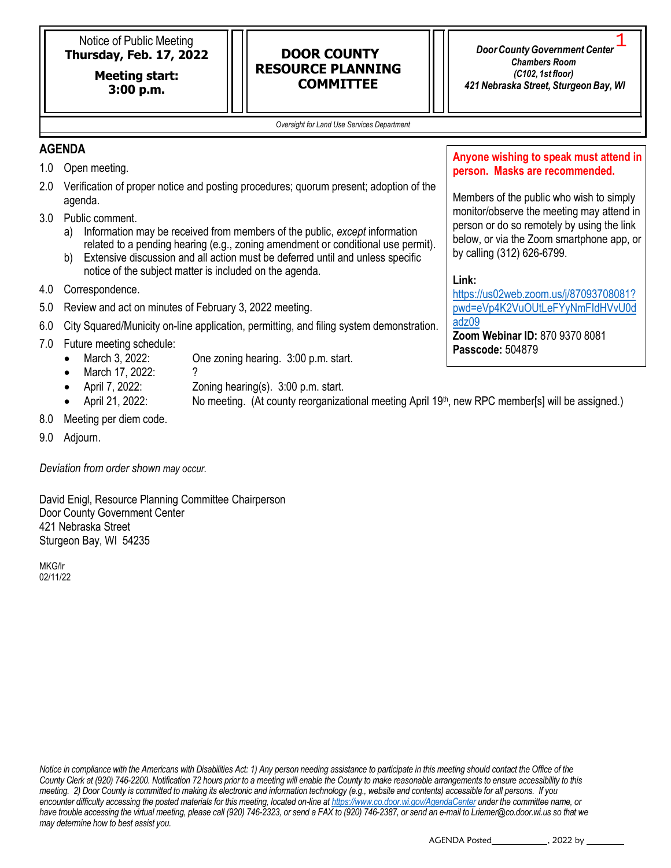Notice of Public Meeting **Thursday, Feb. 17, 2022**

> **Meeting start: 3:00 p.m.**

# **DOOR COUNTY RESOURCE PLANNING COMMITTEE**

*DoorCountyGovernment Center Chambers Room (C102, 1st floor) 421 Nebraska Street, Sturgeon Bay, WI* 1

*Oversight for Land Use Services Department*

## **AGENDA**

- 1.0 Open meeting.
- 2.0 Verification of proper notice and posting procedures; quorum present; adoption of the agenda.
- 3.0 Public comment.
	- a) Information may be received from members of the public, *except* information related to a pending hearing (e.g., zoning amendment or conditional use permit).
	- b) Extensive discussion and all action must be deferred until and unless specific notice of the subject matter is included on the agenda.
- 4.0 Correspondence.
- 5.0 Review and act on minutes of February 3, 2022 meeting.
- 6.0 City Squared/Municity on-line application, permitting, and filing system demonstration.
- 7.0 Future meeting schedule:
	- March 3, 2022: One zoning hearing. 3:00 p.m. start.
	- March 17, 2022: ?
	- April 7, 2022: Zoning hearing(s). 3:00 p.m. start.
	- April 21, 2022: No meeting. (At county reorganizational meeting April 19<sup>th</sup>, new RPC member[s] will be assigned.)
- 8.0 Meeting per diem code.
- 9.0 Adjourn.

*Deviation from order shown may occur.*

David Enigl, Resource Planning Committee Chairperson Door County Government Center 421 Nebraska Street Sturgeon Bay, WI 54235

MKG/lr 02/11/22

*Notice in compliance with the Americans with Disabilities Act: 1) Any person needing assistance to participate in this meeting should contact the Office of the County Clerk at (920) 746-2200. Notification 72 hours prior to a meeting will enable the County to make reasonable arrangements to ensure accessibility to this meeting. 2) Door County is committed to making its electronic and information technology (e.g., website and contents) accessible for all persons. If you encounter difficulty accessing the posted materials for this meeting, located on-line at <https://www.co.door.wi.gov/AgendaCenter> under the committee name, or*  have trouble accessing the virtual meeting, please call (920) 746-2323, or send a FAX to (920) 746-2387, or send an e-mail to [Lriemer@co.door.wi.us so](mailto:Lriemer@co.door.wi.us) that we *may determine how to best assist you.*

**Anyone wishing to speak must attend in person. Masks are recommended.** 

Members of the public who wish to simply monitor/observe the meeting may attend in person or do so remotely by using the link below, or via the Zoom smartphone app, or by calling (312) 626-6799.

## **Link:**

[https://us02web.zoom.us/j/87093708081?](https://us02web.zoom.us/j/87093708081?pwd=eVp4K2VuOUtLeFYyNmFIdHVvU0dadz09) [pwd=eVp4K2VuOUtLeFYyNmFIdHVvU0d](https://us02web.zoom.us/j/87093708081?pwd=eVp4K2VuOUtLeFYyNmFIdHVvU0dadz09) [adz09](https://us02web.zoom.us/j/87093708081?pwd=eVp4K2VuOUtLeFYyNmFIdHVvU0dadz09)

**Zoom Webinar ID:** 870 9370 8081 **Passcode:** 504879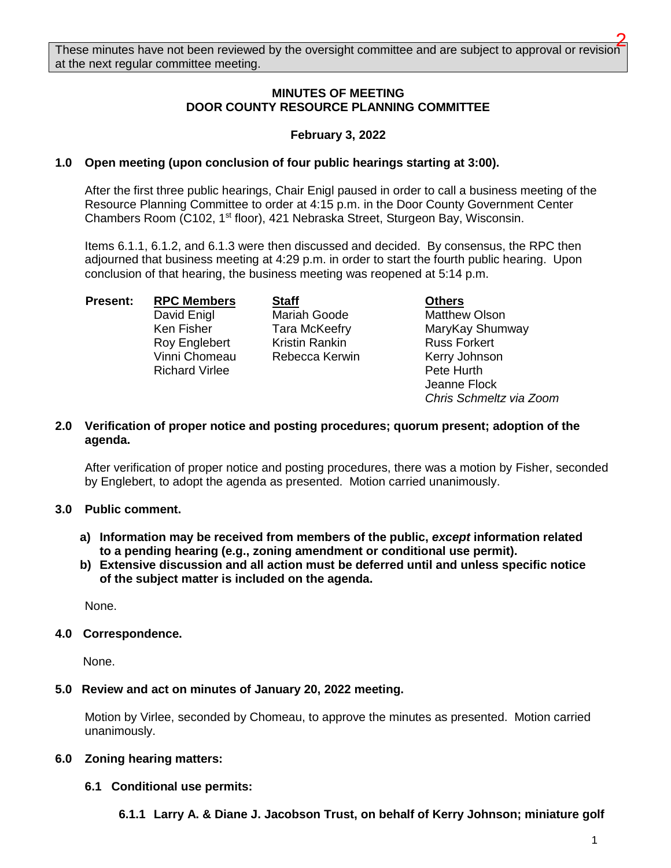## **MINUTES OF MEETING DOOR COUNTY RESOURCE PLANNING COMMITTEE**

## **February 3, 2022**

#### **1.0 Open meeting (upon conclusion of four public hearings starting at 3:00).**

After the first three public hearings, Chair Enigl paused in order to call a business meeting of the Resource Planning Committee to order at 4:15 p.m. in the Door County Government Center Chambers Room (C102, 1<sup>st</sup> floor), 421 Nebraska Street, Sturgeon Bay, Wisconsin.

Items 6.1.1, 6.1.2, and 6.1.3 were then discussed and decided. By consensus, the RPC then adjourned that business meeting at 4:29 p.m. in order to start the fourth public hearing. Upon conclusion of that hearing, the business meeting was reopened at 5:14 p.m.

**Present:** RPC Members Staff Chers Richard Virlee **Pete Hurth** 

David Enigl **Mariah Goode** Matthew Olson Roy Englebert Kristin Rankin Kass Forkert<br>The Rebecca Kerwin Kerry Johnson Vinni Chomeau Rebecca Kerwin Kerry Johnson

Ken Fisher Tara McKeefry MaryKay Shumway Jeanne Flock *Chris Schmeltz via Zoom* 

#### **2.0 Verification of proper notice and posting procedures; quorum present; adoption of the agenda.**

After verification of proper notice and posting procedures, there was a motion by Fisher, seconded by Englebert, to adopt the agenda as presented. Motion carried unanimously.

#### **3.0 Public comment.**

- **a) Information may be received from members of the public,** *except* **information related to a pending hearing (e.g., zoning amendment or conditional use permit).**
- **b) Extensive discussion and all action must be deferred until and unless specific notice of the subject matter is included on the agenda.**

None.

#### **4.0 Correspondence.**

None.

#### **5.0 Review and act on minutes of January 20, 2022 meeting.**

Motion by Virlee, seconded by Chomeau, to approve the minutes as presented. Motion carried unanimously.

#### **6.0 Zoning hearing matters:**

#### **6.1 Conditional use permits:**

**6.1.1 Larry A. & Diane J. Jacobson Trust, on behalf of Kerry Johnson; miniature golf**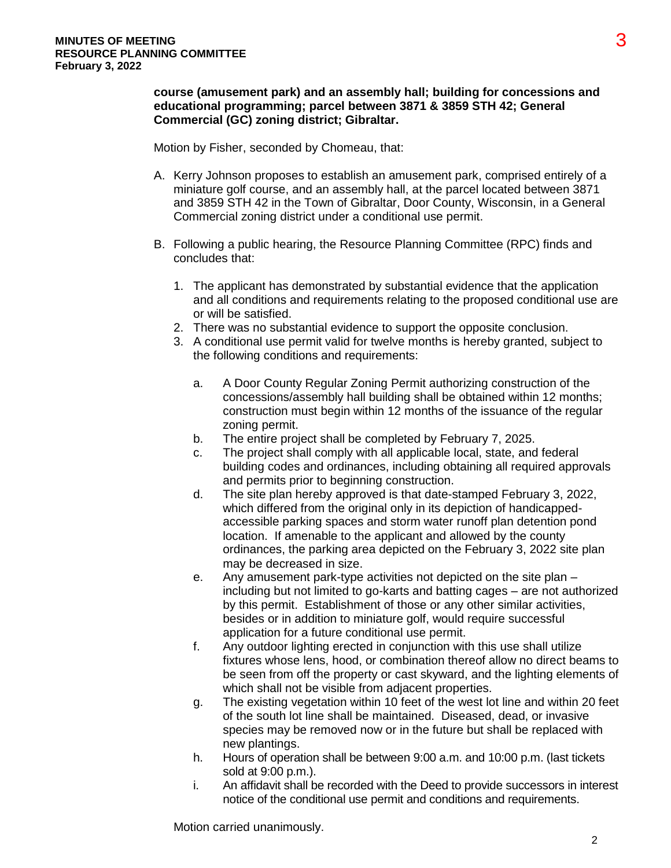## **course (amusement park) and an assembly hall; building for concessions and educational programming; parcel between 3871 & 3859 STH 42; General Commercial (GC) zoning district; Gibraltar.**

Motion by Fisher, seconded by Chomeau, that:

- A. Kerry Johnson proposes to establish an amusement park, comprised entirely of a miniature golf course, and an assembly hall, at the parcel located between 3871 and 3859 STH 42 in the Town of Gibraltar, Door County, Wisconsin, in a General Commercial zoning district under a conditional use permit.
- B. Following a public hearing, the Resource Planning Committee (RPC) finds and concludes that:
	- 1. The applicant has demonstrated by substantial evidence that the application and all conditions and requirements relating to the proposed conditional use are or will be satisfied.
	- 2. There was no substantial evidence to support the opposite conclusion.
	- 3. A conditional use permit valid for twelve months is hereby granted, subject to the following conditions and requirements:
		- a. A Door County Regular Zoning Permit authorizing construction of the concessions/assembly hall building shall be obtained within 12 months; construction must begin within 12 months of the issuance of the regular zoning permit.
		- b. The entire project shall be completed by February 7, 2025.
		- c. The project shall comply with all applicable local, state, and federal building codes and ordinances, including obtaining all required approvals and permits prior to beginning construction.
		- d. The site plan hereby approved is that date-stamped February 3, 2022, which differed from the original only in its depiction of handicappedaccessible parking spaces and storm water runoff plan detention pond location. If amenable to the applicant and allowed by the county ordinances, the parking area depicted on the February 3, 2022 site plan may be decreased in size.
		- e. Any amusement park-type activities not depicted on the site plan including but not limited to go-karts and batting cages – are not authorized by this permit. Establishment of those or any other similar activities, besides or in addition to miniature golf, would require successful application for a future conditional use permit.
		- f. Any outdoor lighting erected in conjunction with this use shall utilize fixtures whose lens, hood, or combination thereof allow no direct beams to be seen from off the property or cast skyward, and the lighting elements of which shall not be visible from adjacent properties.
		- g. The existing vegetation within 10 feet of the west lot line and within 20 feet of the south lot line shall be maintained. Diseased, dead, or invasive species may be removed now or in the future but shall be replaced with new plantings.
		- h. Hours of operation shall be between 9:00 a.m. and 10:00 p.m. (last tickets sold at 9:00 p.m.).
		- i. An affidavit shall be recorded with the Deed to provide successors in interest notice of the conditional use permit and conditions and requirements.

Motion carried unanimously.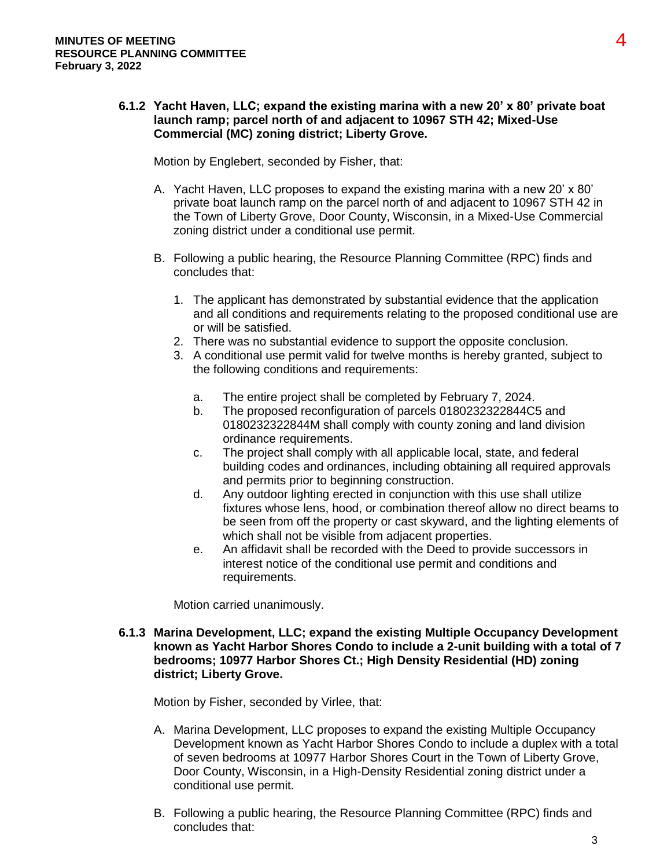## **6.1.2 Yacht Haven, LLC; expand the existing marina with a new 20' x 80' private boat launch ramp; parcel north of and adjacent to 10967 STH 42; Mixed-Use Commercial (MC) zoning district; Liberty Grove.**

Motion by Englebert, seconded by Fisher, that:

- A. Yacht Haven, LLC proposes to expand the existing marina with a new 20' x 80' private boat launch ramp on the parcel north of and adjacent to 10967 STH 42 in the Town of Liberty Grove, Door County, Wisconsin, in a Mixed-Use Commercial zoning district under a conditional use permit.
- B. Following a public hearing, the Resource Planning Committee (RPC) finds and concludes that:
	- 1. The applicant has demonstrated by substantial evidence that the application and all conditions and requirements relating to the proposed conditional use are or will be satisfied.
	- 2. There was no substantial evidence to support the opposite conclusion.
	- 3. A conditional use permit valid for twelve months is hereby granted, subject to the following conditions and requirements:
		- a. The entire project shall be completed by February 7, 2024.
		- b. The proposed reconfiguration of parcels 0180232322844C5 and 0180232322844M shall comply with county zoning and land division ordinance requirements.
		- c. The project shall comply with all applicable local, state, and federal building codes and ordinances, including obtaining all required approvals and permits prior to beginning construction.
		- d. Any outdoor lighting erected in conjunction with this use shall utilize fixtures whose lens, hood, or combination thereof allow no direct beams to be seen from off the property or cast skyward, and the lighting elements of which shall not be visible from adjacent properties.
		- e. An affidavit shall be recorded with the Deed to provide successors in interest notice of the conditional use permit and conditions and requirements.

Motion carried unanimously.

#### **6.1.3 Marina Development, LLC; expand the existing Multiple Occupancy Development known as Yacht Harbor Shores Condo to include a 2-unit building with a total of 7 bedrooms; 10977 Harbor Shores Ct.; High Density Residential (HD) zoning district; Liberty Grove.**

Motion by Fisher, seconded by Virlee, that:

- A. Marina Development, LLC proposes to expand the existing Multiple Occupancy Development known as Yacht Harbor Shores Condo to include a duplex with a total of seven bedrooms at 10977 Harbor Shores Court in the Town of Liberty Grove, Door County, Wisconsin, in a High-Density Residential zoning district under a conditional use permit.
- B. Following a public hearing, the Resource Planning Committee (RPC) finds and concludes that: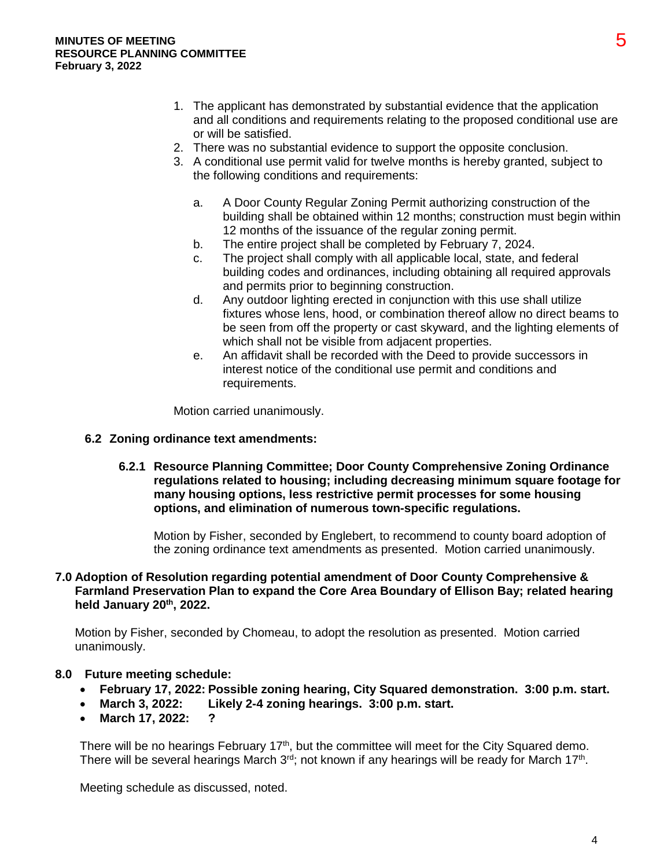- 1. The applicant has demonstrated by substantial evidence that the application and all conditions and requirements relating to the proposed conditional use are or will be satisfied.
- 2. There was no substantial evidence to support the opposite conclusion.
- 3. A conditional use permit valid for twelve months is hereby granted, subject to the following conditions and requirements:
	- a. A Door County Regular Zoning Permit authorizing construction of the building shall be obtained within 12 months; construction must begin within 12 months of the issuance of the regular zoning permit.
	- b. The entire project shall be completed by February 7, 2024.
	- c. The project shall comply with all applicable local, state, and federal building codes and ordinances, including obtaining all required approvals and permits prior to beginning construction.
	- d. Any outdoor lighting erected in conjunction with this use shall utilize fixtures whose lens, hood, or combination thereof allow no direct beams to be seen from off the property or cast skyward, and the lighting elements of which shall not be visible from adjacent properties.
	- e. An affidavit shall be recorded with the Deed to provide successors in interest notice of the conditional use permit and conditions and requirements.

Motion carried unanimously.

#### **6.2 Zoning ordinance text amendments:**

**6.2.1 Resource Planning Committee; Door County Comprehensive Zoning Ordinance regulations related to housing; including decreasing minimum square footage for many housing options, less restrictive permit processes for some housing options, and elimination of numerous town-specific regulations.** 

Motion by Fisher, seconded by Englebert, to recommend to county board adoption of the zoning ordinance text amendments as presented. Motion carried unanimously.

## **7.0 Adoption of Resolution regarding potential amendment of Door County Comprehensive & Farmland Preservation Plan to expand the Core Area Boundary of Ellison Bay; related hearing held January 20th, 2022.**

Motion by Fisher, seconded by Chomeau, to adopt the resolution as presented. Motion carried unanimously.

#### **8.0 Future meeting schedule:**

- **February 17, 2022: Possible zoning hearing, City Squared demonstration. 3:00 p.m. start.**
- **March 3, 2022: Likely 2-4 zoning hearings. 3:00 p.m. start.**
- **March 17, 2022: ?**

There will be no hearings February 17<sup>th</sup>, but the committee will meet for the City Squared demo. There will be several hearings March  $3<sup>rd</sup>$ ; not known if any hearings will be ready for March 17<sup>th</sup>.

Meeting schedule as discussed, noted.